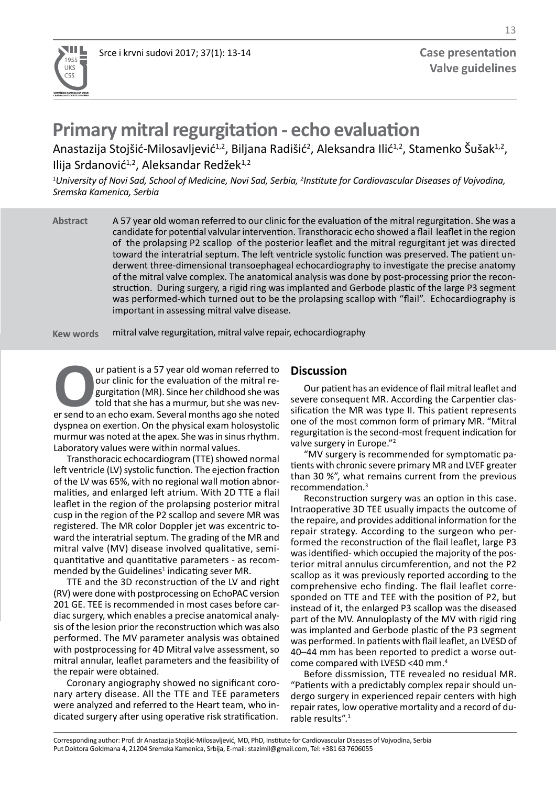

# **Primary mitral regurgitation - echo evaluation**

Anastazija Stojšić-Milosavljević $^{1,2}$ , Biljana Radišić $^{2}$ , Aleksandra Ilić $^{1,2}$ , Stamenko Šušak $^{1,2}$ , Ilija Srdanović<sup>1,2</sup>, Aleksandar Redžek<sup>1,2</sup>

<sup>1</sup>University of Novi Sad, School of Medicine, Novi Sad, Serbia, <sup>2</sup>Institute for Cardiovascular Diseases of Vojvodina, *Sremska Kamenica, Serbia* 

A 57 year old woman referred to our clinic for the evaluation of the mitral regurgitation. She was a candidate for potential valvular intervention. Transthoracic echo showed a flail leaflet in the region of the prolapsing P2 scallop of the posterior leaflet and the mitral regurgitant jet was directed toward the interatrial septum. The left ventricle systolic function was preserved. The patient underwent three-dimensional transoephageal echocardiography to investigate the precise anatomy of the mitral valve complex. The anatomical analysis was done by post-processing prior the reconstruction. During surgery, a rigid ring was implanted and Gerbode plastic of the large P3 segment was performed-which turned out to be the prolapsing scallop with "flail". Echocardiography is important in assessing mitral valve disease. **Abstract**

mitral valve regurgitation, mitral valve repair, echocardiography **Kew words**

**OUR COUR EXECUTE IS A 57 year old woman referred to** our clinic for the evaluation of the mitral regurgitation (MR). Since her childhood she was never send to an echo exam. Several months ago she noted our clinic for the evaluation of the mitral regurgitation (MR). Since her childhood she was told that she has a murmur, but she was nevdyspnea on exertion. On the physical exam holosystolic murmur was noted at the apex. She was in sinus rhythm. Laboratory values were within normal values.

Transthoracic echocardiogram (TTE) showed normal left ventricle (LV) systolic function. The ejection fraction of the LV was 65%, with no regional wall motion abnormalities, and enlarged left atrium. With 2D TTE a flail leaflet in the region of the prolapsing posterior mitral cusp in the region of the P2 scallop and severe MR was registered. The MR color Doppler jet was excentric toward the interatrial septum. The grading of the MR and mitral valve (MV) disease involved qualitative, semiquantitative and quantitative parameters - as recommended by the Guidelines<sup>1</sup> indicating sever MR.

TTE and the 3D reconstruction of the LV and right (RV) were done with postprocessing on EchoPAC version 201 GE. TEE is recommended in most cases before cardiac surgery, which enables a precise anatomical analysis of the lesion prior the reconstruction which was also performed. The MV parameter analysis was obtained with postprocessing for 4D Mitral valve assessment, so mitral annular, leaflet parameters and the feasibility of the repair were obtained.

Coronary angiography showed no significant coronary artery disease. All the TTE and TEE parameters were analyzed and referred to the Heart team, who indicated surgery after using operative risk stratification.

## **Discussion**

Our patient has an evidence of flail mitral leaflet and severe consequent MR. According the Carpentier classification the MR was type II. This patient represents one of the most common form of primary MR. "Mitral regurgitation is the second-most frequent indication for valve surgery in Europe."<sup>2</sup>

"MV surgery is recommended for symptomatic patients with chronic severe primary MR and LVEF greater than 30 %", what remains current from the previous recommendation.3

Reconstruction surgery was an option in this case. Intraoperative 3D TEE usually impacts the outcome of the repaire, and provides additional information for the repair strategy. According to the surgeon who performed the reconstruction of the flail leaflet, large P3 was identified- which occupied the majority of the posterior mitral annulus circumferention, and not the P2 scallop as it was previously reported according to the comprehensive echo finding. The flail leaflet corresponded on TTE and TEE with the position of P2, but instead of it, the enlarged P3 scallop was the diseased part of the MV. Annuloplasty of the MV with rigid ring was implanted and Gerbode plastic of the P3 segment was performed. In patients with flail leaflet, an LVESD of 40–44 mm has been reported to predict a worse outcome compared with LVESD <40 mm.4

Before dissmission, TTE revealed no residual MR. "Patients with a predictably complex repair should undergo surgery in experienced repair centers with high repair rates, low operative mortality and a record of durable results".<sup>1</sup>

Corresponding author: Prof. dr Anastazija Stojšić-Milosavljević, MD, PhD, Institute for Cardiovascular Diseases of Vojvodina, Serbia Put Doktora Goldmana 4, 21204 Sremska Kamenica, Srbija, E-mail: stazimil@gmail.com, Tel: +381 63 7606055